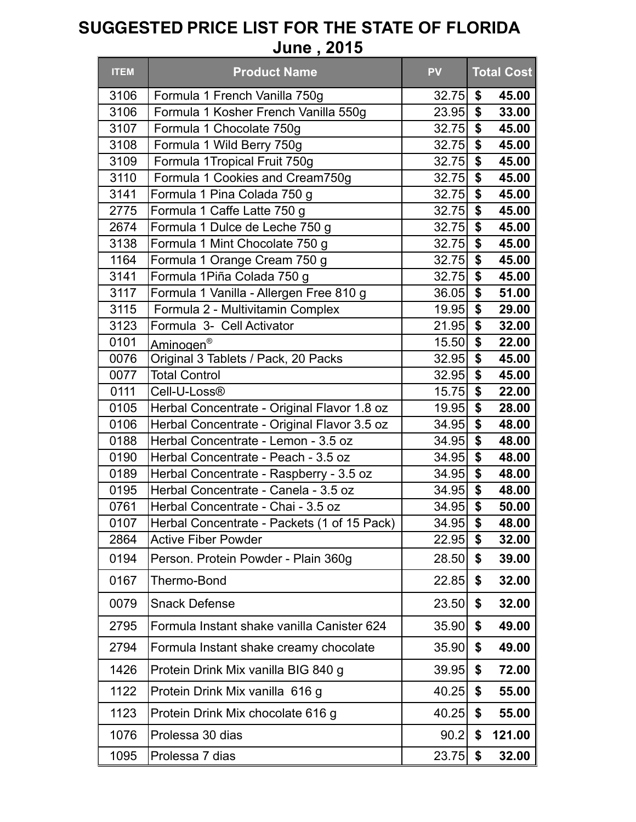| <b>ITEM</b>  | <b>Product Name</b>                                                                        | <b>PV</b>      |                           | <b>Total Cost</b> |
|--------------|--------------------------------------------------------------------------------------------|----------------|---------------------------|-------------------|
| 3106         | Formula 1 French Vanilla 750g                                                              | 32.75          | \$                        | 45.00             |
| 3106         | Formula 1 Kosher French Vanilla 550g                                                       | 23.95          | \$                        | 33.00             |
| 3107         | Formula 1 Chocolate 750g                                                                   | 32.75          | \$                        | 45.00             |
| 3108         | Formula 1 Wild Berry 750g                                                                  | 32.75          | \$                        | 45.00             |
| 3109         | Formula 1Tropical Fruit 750g                                                               | 32.75          | \$                        | 45.00             |
| 3110         | Formula 1 Cookies and Cream750g                                                            | 32.75          | \$                        | 45.00             |
| 3141         | Formula 1 Pina Colada 750 g                                                                | 32.75          | \$                        | 45.00             |
| 2775         | Formula 1 Caffe Latte 750 g                                                                | 32.75          | \$                        | 45.00             |
| 2674         | Formula 1 Dulce de Leche 750 g                                                             | 32.75          | \$                        | 45.00             |
| 3138         | Formula 1 Mint Chocolate 750 g                                                             | 32.75          | \$                        | 45.00             |
| 1164         | Formula 1 Orange Cream 750 g                                                               | 32.75          | \$                        | 45.00             |
| 3141         | Formula 1Piña Colada 750 g                                                                 | 32.75          | $\boldsymbol{\mathsf{s}}$ | 45.00             |
| 3117         | Formula 1 Vanilla - Allergen Free 810 g                                                    | 36.05          | \$                        | 51.00             |
| 3115         | Formula 2 - Multivitamin Complex                                                           | 19.95          | \$                        | 29.00             |
| 3123         | Formula 3- Cell Activator                                                                  | 21.95          | \$                        | 32.00             |
| 0101         | Aminogen <sup>®</sup>                                                                      | 15.50          | $\boldsymbol{\mathsf{s}}$ | 22.00             |
| 0076         | Original 3 Tablets / Pack, 20 Packs                                                        | 32.95          | \$                        | 45.00             |
| 0077         | <b>Total Control</b>                                                                       | 32.95          | \$                        | 45.00             |
| 0111         | Cell-U-Loss <sup>®</sup>                                                                   | 15.75<br>19.95 | \$<br>\$                  | 22.00             |
| 0105<br>0106 | Herbal Concentrate - Original Flavor 1.8 oz<br>Herbal Concentrate - Original Flavor 3.5 oz | 34.95          | \$                        | 28.00<br>48.00    |
| 0188         | Herbal Concentrate - Lemon - 3.5 oz                                                        | 34.95          | \$                        | 48.00             |
| 0190         | Herbal Concentrate - Peach - 3.5 oz                                                        | 34.95          | $\boldsymbol{\mathsf{s}}$ | 48.00             |
| 0189         | Herbal Concentrate - Raspberry - 3.5 oz                                                    | 34.95          | \$                        | 48.00             |
| 0195         | Herbal Concentrate - Canela - 3.5 oz                                                       | 34.95          | $\mathbf{\$}$             | 48.00             |
| 0761         | Herbal Concentrate - Chai - 3.5 oz                                                         | 34.95          | \$                        | 50.00             |
| 0107         | Herbal Concentrate - Packets (1 of 15 Pack)                                                | $34.95$ \$     |                           | 48.00             |
| 2864         | <b>Active Fiber Powder</b>                                                                 | 22.95          | \$                        | 32.00             |
| 0194         | Person. Protein Powder - Plain 360g                                                        | 28.50          | \$                        | 39.00             |
| 0167         | Thermo-Bond                                                                                | 22.85          | \$                        | 32.00             |
| 0079         | <b>Snack Defense</b>                                                                       | 23.50          | \$                        | 32.00             |
| 2795         | Formula Instant shake vanilla Canister 624                                                 | 35.90          | \$                        | 49.00             |
| 2794         | Formula Instant shake creamy chocolate                                                     | 35.90          | \$                        | 49.00             |
| 1426         | Protein Drink Mix vanilla BIG 840 g                                                        | 39.95          | \$                        | 72.00             |
| 1122         | Protein Drink Mix vanilla 616 g                                                            | 40.25          | \$                        | 55.00             |
| 1123         | Protein Drink Mix chocolate 616 g                                                          | 40.25          | \$                        | 55.00             |
| 1076         | Prolessa 30 dias                                                                           | 90.2           | \$                        | 121.00            |
| 1095         | Prolessa 7 dias                                                                            | 23.75          | \$                        | 32.00             |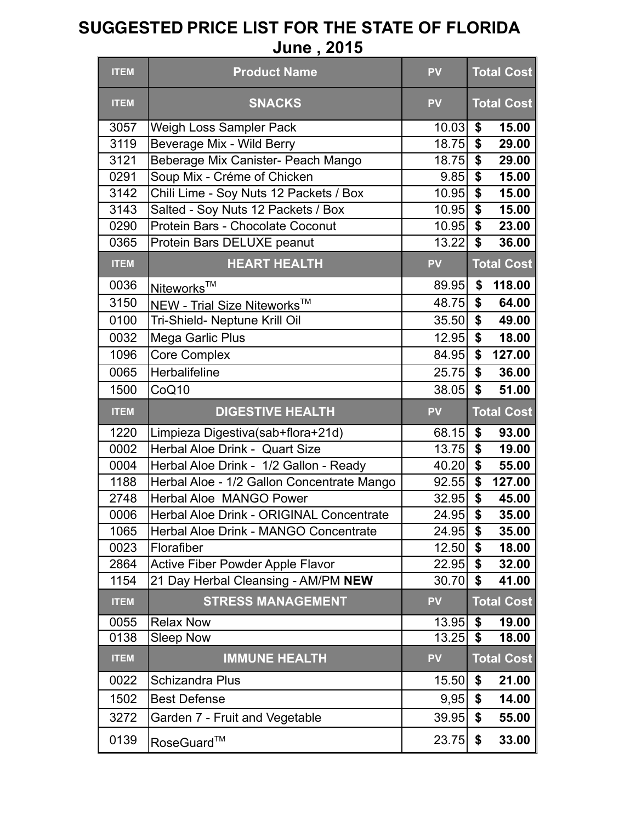| <b>ITEM</b> | <b>Product Name</b>                        | <b>PV</b> | <b>Total Cost</b>                             |
|-------------|--------------------------------------------|-----------|-----------------------------------------------|
| <b>ITEM</b> | <b>SNACKS</b>                              | <b>PV</b> | <b>Total Cost</b>                             |
| 3057        | Weigh Loss Sampler Pack                    | 10.03     | \$<br>15.00                                   |
| 3119        | Beverage Mix - Wild Berry                  | 18.75     | $\overline{\$}$<br>29.00                      |
| 3121        | Beberage Mix Canister- Peach Mango         | 18.75     | \$<br>29.00                                   |
| 0291        | Soup Mix - Créme of Chicken                | 9.85      | $\overline{\boldsymbol{\mathsf{s}}}$<br>15.00 |
| 3142        | Chili Lime - Soy Nuts 12 Packets / Box     | 10.95     | $\overline{\boldsymbol{\mathsf{s}}}$<br>15.00 |
| 3143        | Salted - Soy Nuts 12 Packets / Box         | 10.95     | \$<br>15.00                                   |
| 0290        | Protein Bars - Chocolate Coconut           | 10.95     | \$<br>23.00                                   |
| 0365        | Protein Bars DELUXE peanut                 | 13.22     | \$<br>36.00                                   |
| <b>ITEM</b> | <b>HEART HEALTH</b>                        | <b>PV</b> | <b>Total Cost</b>                             |
| 0036        | Niteworks <sup>™</sup>                     | 89.95     | \$<br>118.00                                  |
| 3150        | NEW - Trial Size Niteworks <sup>™</sup>    | 48.75     | \$<br>64.00                                   |
| 0100        | Tri-Shield- Neptune Krill Oil              | 35.50     | \$<br>49.00                                   |
| 0032        | <b>Mega Garlic Plus</b>                    | 12.95     | \$<br>18.00                                   |
| 1096        | <b>Core Complex</b>                        | 84.95     | \$<br>127.00                                  |
| 0065        | Herbalifeline                              | 25.75     | \$<br>36.00                                   |
| 1500        | CoQ10                                      | 38.05     | $\mathbf S$<br>51.00                          |
|             |                                            |           |                                               |
| <b>ITEM</b> | <b>DIGESTIVE HEALTH</b>                    | <b>PV</b> | <b>Total Cost</b>                             |
| 1220        | Limpieza Digestiva(sab+flora+21d)          | 68.15     | \$<br>93.00                                   |
| 0002        | Herbal Aloe Drink - Quart Size             | 13.75     | \$<br>19.00                                   |
| 0004        | Herbal Aloe Drink - 1/2 Gallon - Ready     | 40.20     | \$<br>55.00                                   |
| 1188        | Herbal Aloe - 1/2 Gallon Concentrate Mango | 92.55     | $\overline{\mathbf{s}}$<br>127.00             |
| 2748        | <b>Herbal Aloe MANGO Power</b>             | 32.95     | $\overline{\$}$<br>45.00                      |
| 0006        | Herbal Aloe Drink - ORIGINAL Concentrate   | 24.95     | \$<br>35.00                                   |
| 1065        | Herbal Aloe Drink - MANGO Concentrate      | 24.95     | \$<br>35.00                                   |
| 0023        | Florafiber                                 | 12.50     | \$<br>18.00                                   |
| 2864        | <b>Active Fiber Powder Apple Flavor</b>    | 22.95     | \$<br>32.00                                   |
| 1154        | 21 Day Herbal Cleansing - AM/PM NEW        | 30.70     | \$<br>41.00                                   |
| <b>ITEM</b> | <b>STRESS MANAGEMENT</b>                   | <b>PV</b> | <b>Total Cost</b>                             |
| 0055        | <b>Relax Now</b>                           | 13.95     | \$<br>19.00                                   |
| 0138        | <b>Sleep Now</b>                           | 13.25     | \$<br>18.00                                   |
| <b>ITEM</b> | <b>IMMUNE HEALTH</b>                       | <b>PV</b> | <b>Total Cost</b>                             |
| 0022        | Schizandra Plus                            | 15.50     | \$<br>21.00                                   |
| 1502        | <b>Best Defense</b>                        | 9,95      | \$<br>14.00                                   |
| 3272        | Garden 7 - Fruit and Vegetable             | 39.95     | \$<br>55.00                                   |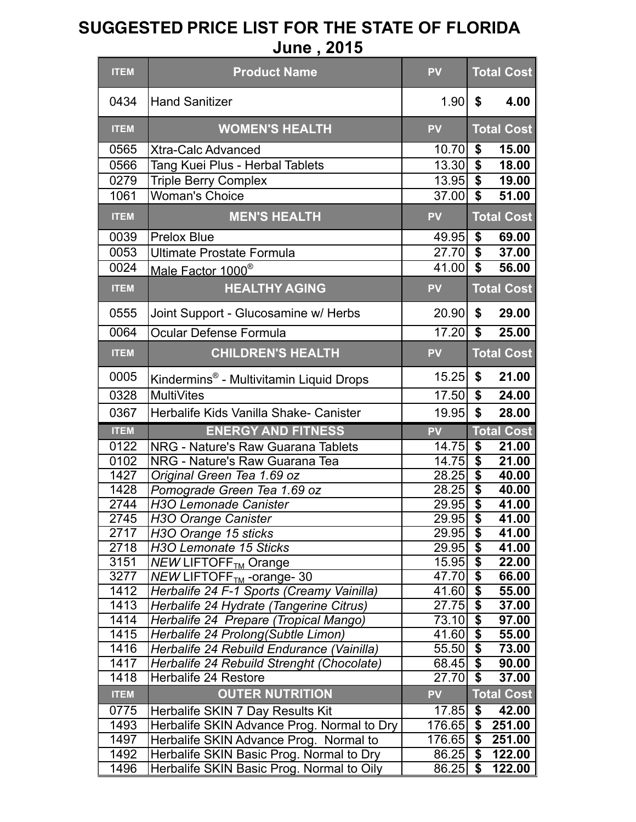| <b>ITEM</b>  | <b>Product Name</b>                                                                | <b>PV</b>          | <b>Total Cost</b>                                   |
|--------------|------------------------------------------------------------------------------------|--------------------|-----------------------------------------------------|
| 0434         | <b>Hand Sanitizer</b>                                                              | 1.90               | \$<br>4.00                                          |
| <b>ITEM</b>  | <b>WOMEN'S HEALTH</b>                                                              | <b>PV</b>          | <b>Total Cost</b>                                   |
| 0565         | <b>Xtra-Calc Advanced</b>                                                          | 10.70              | \$<br>15.00                                         |
| 0566         | Tang Kuei Plus - Herbal Tablets                                                    | 13.30              | $\overline{\$}$<br>18.00                            |
| 0279         | <b>Triple Berry Complex</b>                                                        | 13.95              | $\overline{\$}$<br>19.00                            |
| 1061         | <b>Woman's Choice</b>                                                              | 37.00              | $\overline{\mathbf{s}}$<br>51.00                    |
| <b>ITEM</b>  | <b>MEN'S HEALTH</b>                                                                | <b>PV</b>          | <b>Total Cost</b>                                   |
| 0039         | <b>Prelox Blue</b>                                                                 | 49.95              | \$<br>69.00                                         |
| 0053         | <b>Ultimate Prostate Formula</b>                                                   | 27.70              | \$<br>37.00                                         |
| 0024         | Male Factor 1000 <sup>®</sup>                                                      | 41.00              | \$<br>56.00                                         |
| <b>ITEM</b>  | <b>HEALTHY AGING</b>                                                               | <b>PV</b>          | <b>Total Cost</b>                                   |
| 0555         | Joint Support - Glucosamine w/ Herbs                                               | 20.90              | \$<br>29.00                                         |
| 0064         | Ocular Defense Formula                                                             | 17.20              | $\boldsymbol{\mathsf{s}}$<br>25.00                  |
| <b>ITEM</b>  | <b>CHILDREN'S HEALTH</b>                                                           | <b>PV</b>          | <b>Total Cost</b>                                   |
| 0005         | Kindermins <sup>®</sup> - Multivitamin Liquid Drops                                | 15.25              | \$<br>21.00                                         |
| 0328         | <b>MultiVites</b>                                                                  | 17.50              | $\overline{\mathbf{s}}$<br>24.00                    |
| 0367         | Herbalife Kids Vanilla Shake- Canister                                             | 19.95              | \$<br>28.00                                         |
|              |                                                                                    |                    |                                                     |
|              |                                                                                    |                    |                                                     |
| <b>ITEM</b>  | <b>ENERGY AND FITNESS</b>                                                          | <b>PV</b>          | <b>Total Cost</b>                                   |
| 0122         | <b>NRG - Nature's Raw Guarana Tablets</b>                                          | 14.75              | $\boldsymbol{\mathsf{\$}}$<br>21.00                 |
| 0102         | NRG - Nature's Raw Guarana Tea                                                     | 14.75              | $\overline{\$}$<br>$\overline{2}1.00$               |
| 1427         | Original Green Tea 1.69 oz                                                         | 28.25              | $\overline{\$}$<br>40.00                            |
| 1428         | Pomograde Green Tea 1.69 oz                                                        | 28.25              | $\overline{\$}$<br>40.00<br>41.00                   |
| 2744<br>2745 | <b>H3O Lemonade Canister</b>                                                       | 29.95<br>29.95     | $\overline{\$}$<br>$\overline{\mathbf{s}}$<br>41.00 |
| 2717         | H3O Orange Canister                                                                | 29.95              | \$<br>41.00                                         |
| 2718         | H3O Orange 15 sticks<br>H3O Lemonate 15 Sticks                                     | 29.95              | $\overline{\bullet}$<br>41.00                       |
| 3151         |                                                                                    | 15.95              | $\overline{\$}$<br>22.00                            |
| 3277         | <b>NEW LIFTOFF<sub>TM</sub></b> Orange<br>$NEW$ LIFTOFF <sub>TM</sub> -orange-30   | 47.70              | \$<br>66.00                                         |
| 1412         | Herbalife 24 F-1 Sports (Creamy Vainilla)                                          | 41.60              | $\overline{\boldsymbol{\theta}}$<br>55.00           |
| 1413         | Herbalife 24 Hydrate (Tangerine Citrus)                                            | 27.75              | $\overline{\$}$<br>37.00                            |
| 1414         | Herbalife 24 Prepare (Tropical Mango)                                              | 73.10              | $\overline{\$}$<br>97.00                            |
| 1415         | Herbalife 24 Prolong (Subtle Limon)                                                | 41.60              | $\overline{\$}$<br>55.00                            |
| 1416         | Herbalife 24 Rebuild Endurance (Vainilla)                                          | $\overline{55.50}$ | $\overline{\$}$<br>73.00                            |
| 1417         | Herbalife 24 Rebuild Strenght (Chocolate)                                          | 68.45              | $\overline{\$}$<br>90.00                            |
| 1418         | Herbalife 24 Restore                                                               | 27.70              | $\overline{\mathbf{s}}$<br>37.00                    |
| <b>ITEM</b>  | <b>OUTER NUTRITION</b>                                                             | <b>PV</b>          | <b>Total Cost</b>                                   |
| 0775         | Herbalife SKIN 7 Day Results Kit                                                   | 17.85              | \$<br>42.00                                         |
| 1493         | Herbalife SKIN Advance Prog. Normal to Dry                                         | 176.65             | \$<br>251.00                                        |
| 1497<br>1492 | Herbalife SKIN Advance Prog. Normal to<br>Herbalife SKIN Basic Prog. Normal to Dry | 176.65<br>86.25    | \$<br>251.00<br>$\overline{\$}$<br>122.00           |